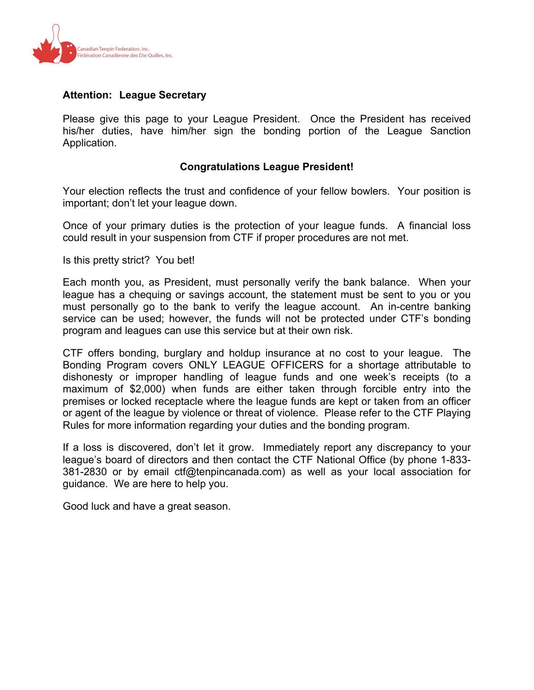

# **Attention: League Secretary**

Please give this page to your League President. Once the President has received his/her duties, have him/her sign the bonding portion of the League Sanction Application.

## **Congratulations League President!**

Your election reflects the trust and confidence of your fellow bowlers. Your position is important; don't let your league down.

Once of your primary duties is the protection of your league funds. A financial loss could result in your suspension from CTF if proper procedures are not met.

Is this pretty strict? You bet!

Each month you, as President, must personally verify the bank balance. When your league has a chequing or savings account, the statement must be sent to you or you must personally go to the bank to verify the league account. An in-centre banking service can be used; however, the funds will not be protected under CTF's bonding program and leagues can use this service but at their own risk.

CTF offers bonding, burglary and holdup insurance at no cost to your league. The Bonding Program covers ONLY LEAGUE OFFICERS for a shortage attributable to dishonesty or improper handling of league funds and one week's receipts (to a maximum of \$2,000) when funds are either taken through forcible entry into the premises or locked receptacle where the league funds are kept or taken from an officer or agent of the league by violence or threat of violence. Please refer to the CTF Playing Rules for more information regarding your duties and the bonding program.

If a loss is discovered, don't let it grow. Immediately report any discrepancy to your league's board of directors and then contact the CTF National Office (by phone 1-833- 381-2830 or by email ctf@tenpincanada.com) as well as your local association for guidance. We are here to help you.

Good luck and have a great season.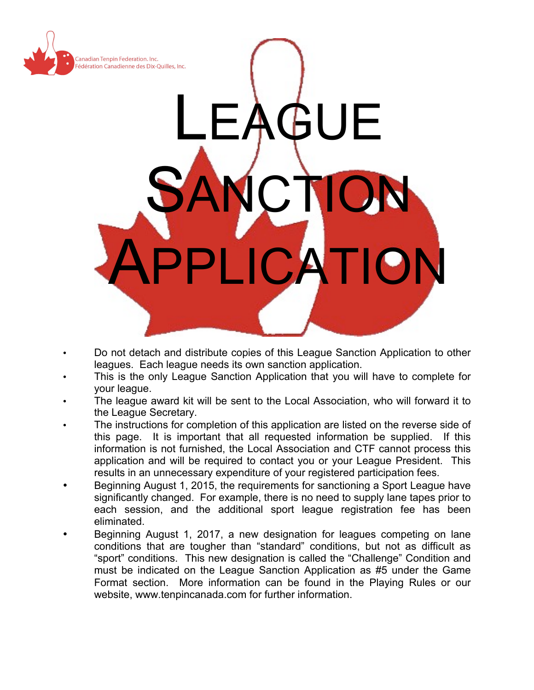

- Do not detach and distribute copies of this League Sanction Application to other leagues. Each league needs its own sanction application.
- This is the only League Sanction Application that you will have to complete for your league.
- The league award kit will be sent to the Local Association, who will forward it to the League Secretary.
- The instructions for completion of this application are listed on the reverse side of this page. It is important that all requested information be supplied. If this information is not furnished, the Local Association and CTF cannot process this application and will be required to contact you or your League President. This results in an unnecessary expenditure of your registered participation fees.
- Beginning August 1, 2015, the requirements for sanctioning a Sport League have significantly changed. For example, there is no need to supply lane tapes prior to each session, and the additional sport league registration fee has been eliminated.
- Beginning August 1, 2017, a new designation for leagues competing on lane conditions that are tougher than "standard" conditions, but not as difficult as "sport" conditions. This new designation is called the "Challenge" Condition and must be indicated on the League Sanction Application as #5 under the Game Format section. More information can be found in the Playing Rules or our website, www.tenpincanada.com for further information.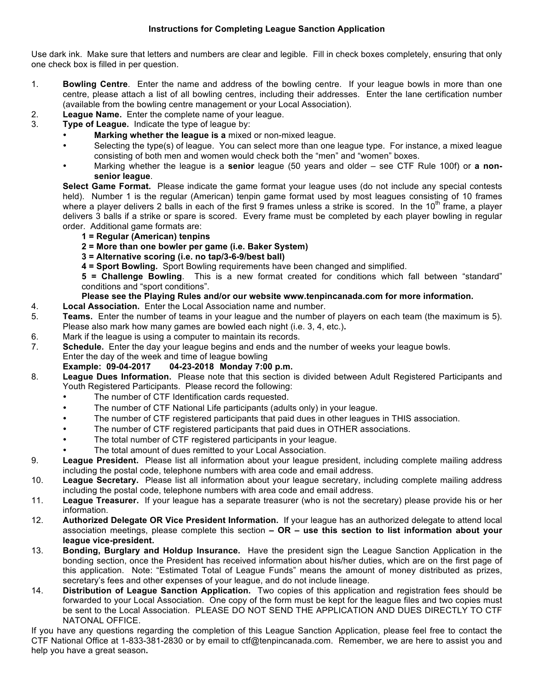#### **Instructions for Completing League Sanction Application**

Use dark ink. Make sure that letters and numbers are clear and legible. Fill in check boxes completely, ensuring that only one check box is filled in per question.

- 1. **Bowling Centre**. Enter the name and address of the bowling centre. If your league bowls in more than one centre, please attach a list of all bowling centres, including their addresses. Enter the lane certification number (available from the bowling centre management or your Local Association).
- 2. **League Name.** Enter the complete name of your league.
- 3. **Type of League.** Indicate the type of league by:
	- **Marking whether the league is a** mixed or non-mixed league.
	- Selecting the type(s) of league. You can select more than one league type. For instance, a mixed league consisting of both men and women would check both the "men" and "women" boxes.
	- Marking whether the league is a **senior** league (50 years and older see CTF Rule 100f) or **a nonsenior league**.

**Select Game Format.** Please indicate the game format your league uses (do not include any special contests held). Number 1 is the regular (American) tenpin game format used by most leagues consisting of 10 frames where a player delivers 2 balls in each of the first 9 frames unless a strike is scored. In the  $10<sup>th</sup>$  frame, a player delivers 3 balls if a strike or spare is scored. Every frame must be completed by each player bowling in regular order. Additional game formats are:

- **1 = Regular (American) tenpins**
- **2 = More than one bowler per game (i.e. Baker System)**
- **3 = Alternative scoring (i.e. no tap/3-6-9/best ball)**
- **4 = Sport Bowling.** Sport Bowling requirements have been changed and simplified.

**5 = Challenge Bowling**. This is a new format created for conditions which fall between "standard" conditions and "sport conditions".

### **Please see the Playing Rules and/or our website www.tenpincanada.com for more information.**

- 4. **Local Association.** Enter the Local Association name and number.
- 5. **Teams.** Enter the number of teams in your league and the number of players on each team (the maximum is 5). Please also mark how many games are bowled each night (i.e. 3, 4, etc.)**.**
- 6. Mark if the league is using a computer to maintain its records.
- 7. **Schedule.** Enter the day your league begins and ends and the number of weeks your league bowls. Enter the day of the week and time of league bowling

## **Example: 09-04-2017 04-23-2018 Monday 7:00 p.m.**

- 8. **League Dues Information.** Please note that this section is divided between Adult Registered Participants and Youth Registered Participants. Please record the following:
	- The number of CTF Identification cards requested.
	- The number of CTF National Life participants (adults only) in your league.
	- The number of CTF registered participants that paid dues in other leagues in THIS association.
	- The number of CTF registered participants that paid dues in OTHER associations.
	- The total number of CTF registered participants in your league.
	- The total amount of dues remitted to your Local Association.
- 9. **League President.** Please list all information about your league president, including complete mailing address including the postal code, telephone numbers with area code and email address.
- 10. **League Secretary.** Please list all information about your league secretary, including complete mailing address including the postal code, telephone numbers with area code and email address.
- 11. **League Treasurer.** If your league has a separate treasurer (who is not the secretary) please provide his or her information.
- 12. **Authorized Delegate OR Vice President Information.** If your league has an authorized delegate to attend local association meetings, please complete this section **– OR – use this section to list information about your league vice-president.**
- 13. **Bonding, Burglary and Holdup Insurance.** Have the president sign the League Sanction Application in the bonding section, once the President has received information about his/her duties, which are on the first page of this application. Note: "Estimated Total of League Funds" means the amount of money distributed as prizes, secretary's fees and other expenses of your league, and do not include lineage.
- 14. **Distribution of League Sanction Application.** Two copies of this application and registration fees should be forwarded to your Local Association. One copy of the form must be kept for the league files and two copies must be sent to the Local Association. PLEASE DO NOT SEND THE APPLICATION AND DUES DIRECTLY TO CTF NATONAL OFFICE.

If you have any questions regarding the completion of this League Sanction Application, please feel free to contact the CTF National Office at 1-833-381-2830 or by email to ctf@tenpincanada.com. Remember, we are here to assist you and help you have a great season**.**